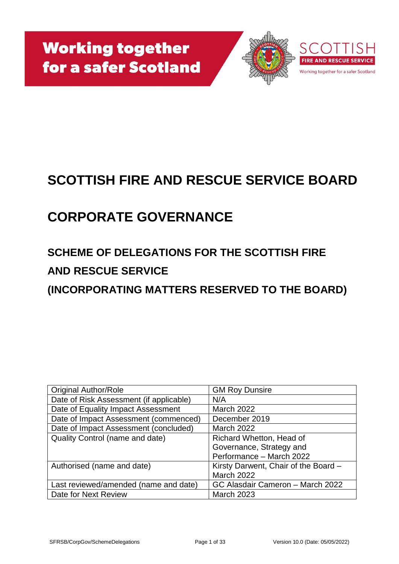

# **SCOTTISH FIRE AND RESCUE SERVICE BOARD**

# **CORPORATE GOVERNANCE**

# **SCHEME OF DELEGATIONS FOR THE SCOTTISH FIRE AND RESCUE SERVICE**

**(INCORPORATING MATTERS RESERVED TO THE BOARD)**

| <b>Original Author/Role</b>             | <b>GM Roy Dunsire</b>                |
|-----------------------------------------|--------------------------------------|
| Date of Risk Assessment (if applicable) | N/A                                  |
| Date of Equality Impact Assessment      | <b>March 2022</b>                    |
| Date of Impact Assessment (commenced)   | December 2019                        |
| Date of Impact Assessment (concluded)   | <b>March 2022</b>                    |
| Quality Control (name and date)         | Richard Whetton, Head of             |
|                                         | Governance, Strategy and             |
|                                         | Performance - March 2022             |
| Authorised (name and date)              | Kirsty Darwent, Chair of the Board - |
|                                         | <b>March 2022</b>                    |
| Last reviewed/amended (name and date)   | GC Alasdair Cameron - March 2022     |
| Date for Next Review                    | <b>March 2023</b>                    |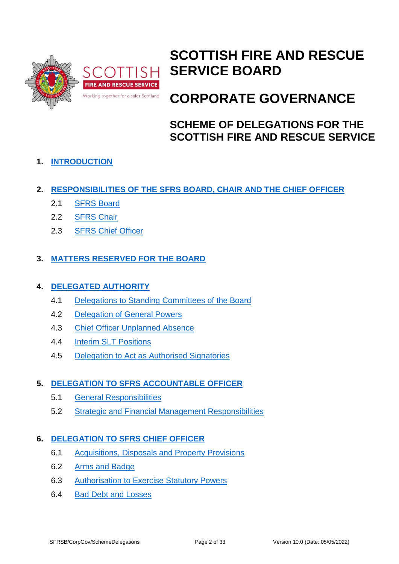

# **SCOTTISH FIRE AND RESCUE SERVICE BOARD**

# **CORPORATE GOVERNANCE**

# **SCHEME OF DELEGATIONS FOR THE SCOTTISH FIRE AND RESCUE SERVICE**

# **1. [INTRODUCTION](#page-3-0)**

- **2. [RESPONSIBILITIES OF THE SFRS BOARD, CHAIR AND THE CHIEF OFFICER](#page-4-0)**
	- 2.1 [SFRS Board](#page-5-0)
	- 2.2 [SFRS Chair](#page-6-0)
	- 2.3 [SFRS Chief Officer](#page-7-0)

# **3. [MATTERS RESERVED FOR THE BOARD](#page-9-0)**

### **4. [DELEGATED AUTHORITY](#page-10-0)**

- 4.1 [Delegations to Standing Committees of the Board](#page-10-1)
- 4.2 [Delegation of General Powers](#page-11-0)
- 4.3 [Chief Officer Unplanned Absence](#page-12-0)
- 4.4 [Interim SLT Positions](#page-12-1)
- 4.5 [Delegation to Act as Authorised Signatories](#page-12-2)

# **5. [DELEGATION TO SFRS ACCOUNTABLE OFFICER](#page-13-0)**

- 5.1 [General Responsibilities](#page-13-1)
- 5.2 [Strategic and Financial Management Responsibilities](#page-13-2)

# **6. [DELEGATION TO SFRS CHIEF OFFICER](#page-15-0)**

- 6.1 [Acquisitions, Disposals and Property Provisions](#page-15-1)
- 6.2 [Arms and Badge](#page-15-2)
- 6.3 [Authorisation to Exercise Statutory Powers](#page-16-0)
- 6.4 [Bad Debt and Losses](#page-16-1)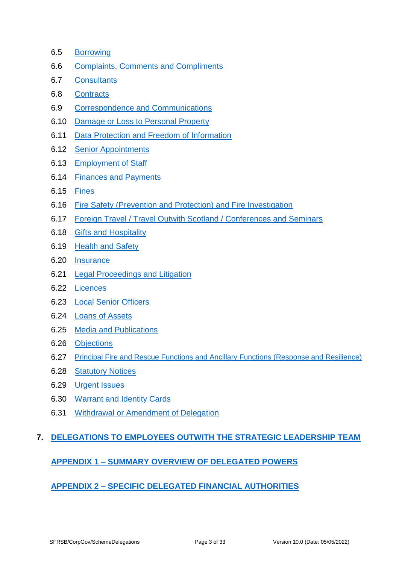- 6.5 [Borrowing](#page-16-2)
- 6.6 [Complaints, Comments and Compliments](#page-17-0)
- 6.7 [Consultants](#page-17-1)
- 6.8 [Contracts](#page-17-2)
- 6.9 [Correspondence and Communications](#page-18-0)
- 6.10 [Damage or Loss to Personal Property](#page-18-1)
- 6.11 [Data Protection and Freedom of Information](#page-18-2)
- 6.12 [Senior Appointments](#page-19-0)
- 6.13 [Employment of Staff](#page-19-1)
- 6.14 [Finances and Payments](#page-19-2)
- 6.15 [Fines](#page-20-0)
- 6.16 [Fire Safety \(Prevention and Protection\) and Fire Investigation](#page-20-1)
- 6.17 Foreign Travel / Travel Outwith Scotland / [Conferences and Seminars](#page-20-2)
- 6.18 [Gifts and Hospitality](#page-20-3)
- 6.19 [Health and Safety](#page-21-0)
- 6.20 [Insurance](#page-21-1)
- 6.21 [Legal Proceedings and Litigation](#page-22-0)
- 6.22 [Licences](#page-23-0)
- 6.23 [Local Senior Officers](#page-23-1)
- 6.24 Loans [of Assets](#page-23-2)
- 6.25 [Media and Publications](#page-23-3)
- 6.26 [Objections](#page-24-0)
- 6.27 [Principal Fire and Rescue Functions and Ancillary Functions \(Response and Resilience\)](#page-24-1)
- 6.28 [Statutory Notices](#page-24-2)
- 6.29 [Urgent Issues](#page-24-3)
- 6.30 [Warrant and Identity Cards](#page-25-0)
- 6.31 [Withdrawal or Amendment of Delegation](#page-25-1)

#### **7. DELEGATIONS TO [EMPLOYEES OUTWITH THE STRATEGIC LEADERSHIP TEAM](#page-25-2)**

#### **APPENDIX 1 – [SUMMARY OVERVIEW OF DELEGATED POWERS](#page-27-0)**

#### **APPENDIX 2 – [SPECIFIC DELEGATED FINANCIAL AUTHORITIES](#page-32-0)**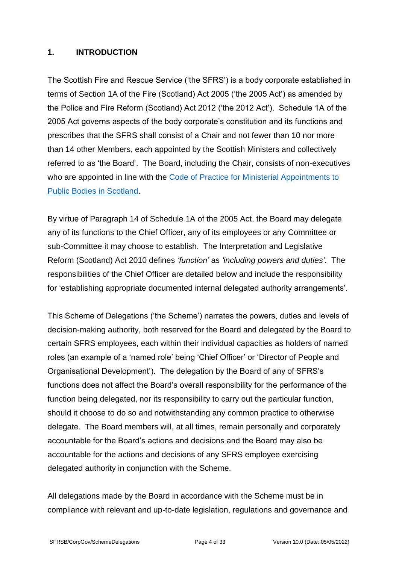#### <span id="page-3-0"></span>**1. INTRODUCTION**

The Scottish Fire and Rescue Service ('the SFRS') is a body corporate established in terms of Section 1A of the Fire (Scotland) Act 2005 ('the 2005 Act') as amended by the Police and Fire Reform (Scotland) Act 2012 ('the 2012 Act'). Schedule 1A of the 2005 Act governs aspects of the body corporate's constitution and its functions and prescribes that the SFRS shall consist of a Chair and not fewer than 10 nor more than 14 other Members, each appointed by the Scottish Ministers and collectively referred to as 'the Board'. The Board, including the Chair, consists of non-executives who are appointed in line with the Code of Practice for Ministerial Appointments to [Public Bodies in Scotland.](https://www.ethicalstandards.org.uk/sites/default/files/publications/Code_of_Practice.pdf)

By virtue of Paragraph 14 of Schedule 1A of the 2005 Act, the Board may delegate any of its functions to the Chief Officer, any of its employees or any Committee or sub-Committee it may choose to establish. The Interpretation and Legislative Reform (Scotland) Act 2010 defines *'function'* as *'including powers and duties'*. The responsibilities of the Chief Officer are detailed below and include the responsibility for 'establishing appropriate documented internal delegated authority arrangements'.

This Scheme of Delegations ('the Scheme') narrates the powers, duties and levels of decision-making authority, both reserved for the Board and delegated by the Board to certain SFRS employees, each within their individual capacities as holders of named roles (an example of a 'named role' being 'Chief Officer' or 'Director of People and Organisational Development'). The delegation by the Board of any of SFRS's functions does not affect the Board's overall responsibility for the performance of the function being delegated, nor its responsibility to carry out the particular function, should it choose to do so and notwithstanding any common practice to otherwise delegate. The Board members will, at all times, remain personally and corporately accountable for the Board's actions and decisions and the Board may also be accountable for the actions and decisions of any SFRS employee exercising delegated authority in conjunction with the Scheme.

All delegations made by the Board in accordance with the Scheme must be in compliance with relevant and up-to-date legislation, regulations and governance and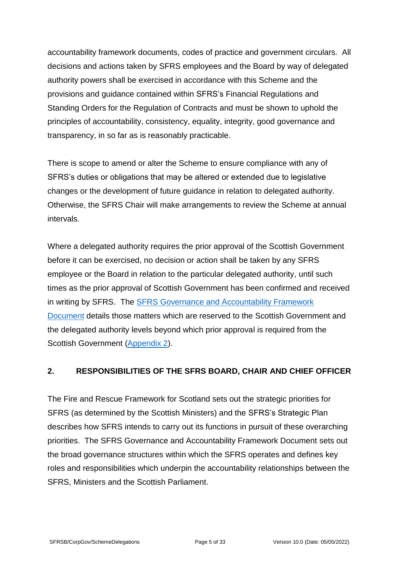accountability framework documents, codes of practice and government circulars. All decisions and actions taken by SFRS employees and the Board by way of delegated authority powers shall be exercised in accordance with this Scheme and the provisions and guidance contained within SFRS's Financial Regulations and Standing Orders for the Regulation of Contracts and must be shown to uphold the principles of accountability, consistency, equality, integrity, good governance and transparency, in so far as is reasonably practicable.

There is scope to amend or alter the Scheme to ensure compliance with any of SFRS's duties or obligations that may be altered or extended due to legislative changes or the development of future guidance in relation to delegated authority. Otherwise, the SFRS Chair will make arrangements to review the Scheme at annual intervals.

Where a delegated authority requires the prior approval of the Scottish Government before it can be exercised, no decision or action shall be taken by any SFRS employee or the Board in relation to the particular delegated authority, until such times as the prior approval of Scottish Government has been confirmed and received in writing by SFRS. The [SFRS Governance and Accountability Framework](https://www.gov.scot/publications/scottish-fire-rescue-service-governance-accountability-framework/)  [Document](https://www.gov.scot/publications/scottish-fire-rescue-service-governance-accountability-framework/) details those matters which are reserved to the Scottish Government and the delegated authority levels beyond which prior approval is required from the Scottish Government [\(Appendix 2\)](#page-32-0).

#### <span id="page-4-0"></span>**2. RESPONSIBILITIES OF THE SFRS BOARD, CHAIR AND CHIEF OFFICER**

The Fire and Rescue Framework for Scotland sets out the strategic priorities for SFRS (as determined by the Scottish Ministers) and the SFRS's Strategic Plan describes how SFRS intends to carry out its functions in pursuit of these overarching priorities. The SFRS Governance and Accountability Framework Document sets out the broad governance structures within which the SFRS operates and defines key roles and responsibilities which underpin the accountability relationships between the SFRS, Ministers and the Scottish Parliament.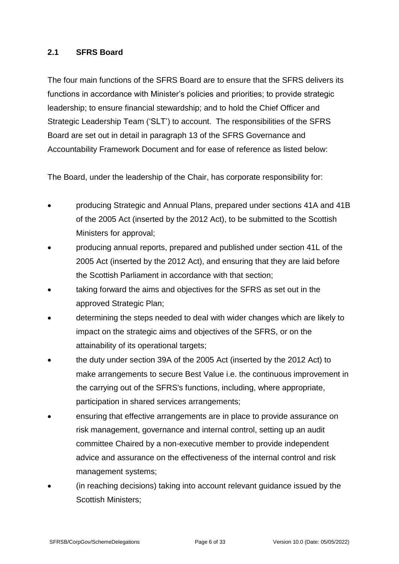#### <span id="page-5-0"></span>**2.1 SFRS Board**

The four main functions of the SFRS Board are to ensure that the SFRS delivers its functions in accordance with Minister's policies and priorities; to provide strategic leadership; to ensure financial stewardship; and to hold the Chief Officer and Strategic Leadership Team ('SLT') to account. The responsibilities of the SFRS Board are set out in detail in paragraph 13 of the SFRS Governance and Accountability Framework Document and for ease of reference as listed below:

The Board, under the leadership of the Chair, has corporate responsibility for:

- producing Strategic and Annual Plans, prepared under sections 41A and 41B of the 2005 Act (inserted by the 2012 Act), to be submitted to the Scottish Ministers for approval;
- producing annual reports, prepared and published under section 41L of the 2005 Act (inserted by the 2012 Act), and ensuring that they are laid before the Scottish Parliament in accordance with that section;
- taking forward the aims and objectives for the SFRS as set out in the approved Strategic Plan;
- determining the steps needed to deal with wider changes which are likely to impact on the strategic aims and objectives of the SFRS, or on the attainability of its operational targets;
- the duty under section 39A of the 2005 Act (inserted by the 2012 Act) to make arrangements to secure Best Value i.e. the continuous improvement in the carrying out of the SFRS's functions, including, where appropriate, participation in shared services arrangements;
- ensuring that effective arrangements are in place to provide assurance on risk management, governance and internal control, setting up an audit committee Chaired by a non-executive member to provide independent advice and assurance on the effectiveness of the internal control and risk management systems;
- (in reaching decisions) taking into account relevant guidance issued by the Scottish Ministers;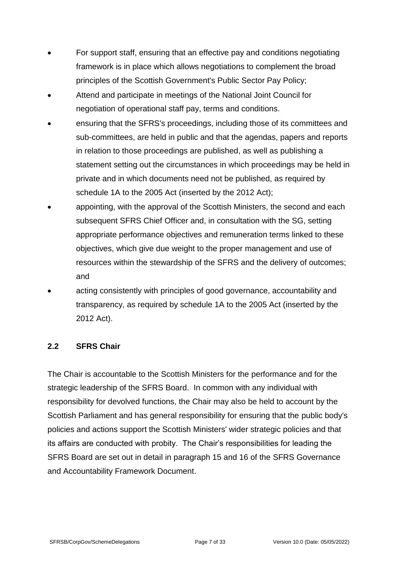- For support staff, ensuring that an effective pay and conditions negotiating framework is in place which allows negotiations to complement the broad principles of the Scottish Government's Public Sector Pay Policy;
- Attend and participate in meetings of the National Joint Council for negotiation of operational staff pay, terms and conditions.
- ensuring that the SFRS's proceedings, including those of its committees and sub-committees, are held in public and that the agendas, papers and reports in relation to those proceedings are published, as well as publishing a statement setting out the circumstances in which proceedings may be held in private and in which documents need not be published, as required by schedule 1A to the 2005 Act (inserted by the 2012 Act);
- appointing, with the approval of the Scottish Ministers, the second and each subsequent SFRS Chief Officer and, in consultation with the SG, setting appropriate performance objectives and remuneration terms linked to these objectives, which give due weight to the proper management and use of resources within the stewardship of the SFRS and the delivery of outcomes; and
- acting consistently with principles of good governance, accountability and transparency, as required by schedule 1A to the 2005 Act (inserted by the 2012 Act).

#### <span id="page-6-0"></span>**2.2 SFRS Chair**

The Chair is accountable to the Scottish Ministers for the performance and for the strategic leadership of the SFRS Board. In common with any individual with responsibility for devolved functions, the Chair may also be held to account by the Scottish Parliament and has general responsibility for ensuring that the public body's policies and actions support the Scottish Ministers' wider strategic policies and that its affairs are conducted with probity. The Chair's responsibilities for leading the SFRS Board are set out in detail in paragraph 15 and 16 of the SFRS Governance and Accountability Framework Document.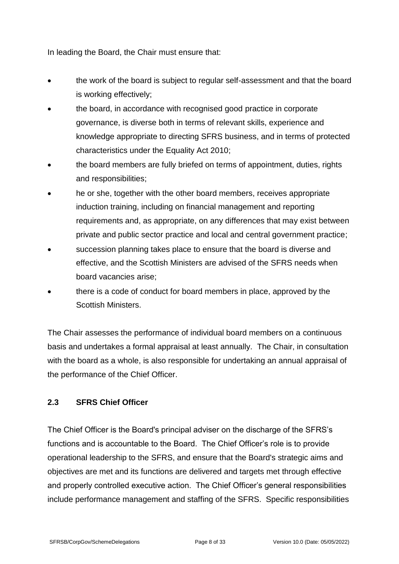In leading the Board, the Chair must ensure that:

- the work of the board is subject to regular self-assessment and that the board is working effectively;
- the board, in accordance with recognised good practice in corporate governance, is diverse both in terms of relevant skills, experience and knowledge appropriate to directing SFRS business, and in terms of protected characteristics under the Equality Act 2010;
- the board members are fully briefed on terms of appointment, duties, rights and responsibilities;
- he or she, together with the other board members, receives appropriate induction training, including on financial management and reporting requirements and, as appropriate, on any differences that may exist between private and public sector practice and local and central government practice;
- succession planning takes place to ensure that the board is diverse and effective, and the Scottish Ministers are advised of the SFRS needs when board vacancies arise;
- there is a code of conduct for board members in place, approved by the Scottish Ministers.

The Chair assesses the performance of individual board members on a continuous basis and undertakes a formal appraisal at least annually. The Chair, in consultation with the board as a whole, is also responsible for undertaking an annual appraisal of the performance of the Chief Officer.

#### <span id="page-7-0"></span>**2.3 SFRS Chief Officer**

The Chief Officer is the Board's principal adviser on the discharge of the SFRS's functions and is accountable to the Board. The Chief Officer's role is to provide operational leadership to the SFRS, and ensure that the Board's strategic aims and objectives are met and its functions are delivered and targets met through effective and properly controlled executive action. The Chief Officer's general responsibilities include performance management and staffing of the SFRS. Specific responsibilities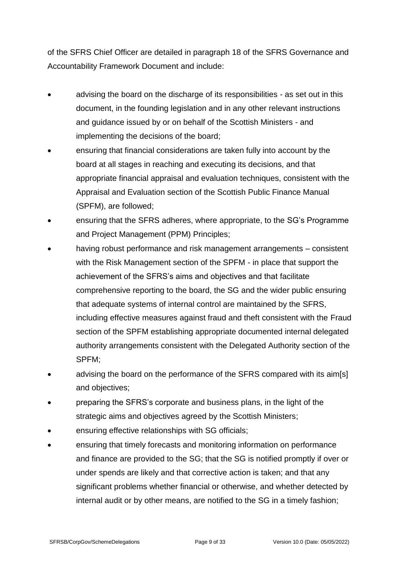of the SFRS Chief Officer are detailed in paragraph 18 of the SFRS Governance and Accountability Framework Document and include:

- advising the board on the discharge of its responsibilities as set out in this document, in the founding legislation and in any other relevant instructions and guidance issued by or on behalf of the Scottish Ministers - and implementing the decisions of the board;
- ensuring that financial considerations are taken fully into account by the board at all stages in reaching and executing its decisions, and that appropriate financial appraisal and evaluation techniques, consistent with the Appraisal and Evaluation section of the Scottish Public Finance Manual (SPFM), are followed;
- ensuring that the SFRS adheres, where appropriate, to the SG's Programme and Project Management (PPM) Principles;
- having robust performance and risk management arrangements consistent with the Risk Management section of the SPFM - in place that support the achievement of the SFRS's aims and objectives and that facilitate comprehensive reporting to the board, the SG and the wider public ensuring that adequate systems of internal control are maintained by the SFRS, including effective measures against fraud and theft consistent with the Fraud section of the SPFM establishing appropriate documented internal delegated authority arrangements consistent with the Delegated Authority section of the SPFM;
- advising the board on the performance of the SFRS compared with its aim[s] and objectives;
- preparing the SFRS's corporate and business plans, in the light of the strategic aims and objectives agreed by the Scottish Ministers;
- ensuring effective relationships with SG officials;
- ensuring that timely forecasts and monitoring information on performance and finance are provided to the SG; that the SG is notified promptly if over or under spends are likely and that corrective action is taken; and that any significant problems whether financial or otherwise, and whether detected by internal audit or by other means, are notified to the SG in a timely fashion;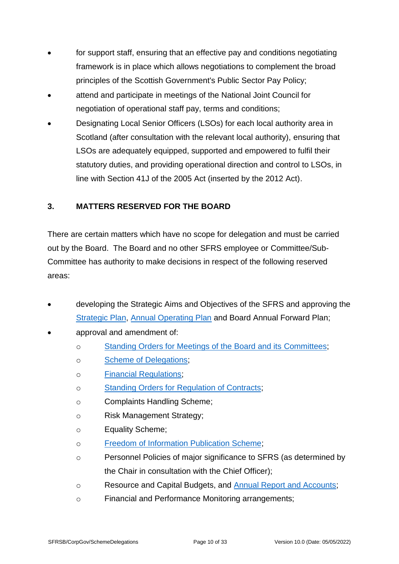- for support staff, ensuring that an effective pay and conditions negotiating framework is in place which allows negotiations to complement the broad principles of the Scottish Government's Public Sector Pay Policy;
- attend and participate in meetings of the National Joint Council for negotiation of operational staff pay, terms and conditions;
- Designating Local Senior Officers (LSOs) for each local authority area in Scotland (after consultation with the relevant local authority), ensuring that LSOs are adequately equipped, supported and empowered to fulfil their statutory duties, and providing operational direction and control to LSOs, in line with Section 41J of the 2005 Act (inserted by the 2012 Act).

### <span id="page-9-0"></span>**3. MATTERS RESERVED FOR THE BOARD**

There are certain matters which have no scope for delegation and must be carried out by the Board. The Board and no other SFRS employee or Committee/Sub-Committee has authority to make decisions in respect of the following reserved areas:

- developing the Strategic Aims and Objectives of the SFRS and approving the [Strategic Plan, Annual Operating Plan](https://www.firescotland.gov.uk/access-to-information/publication-scheme/about-sfrs.aspx) and Board Annual Forward Plan;
- approval and amendment of:
	- o [Standing Orders for Meetings of the Board and its Committees;](https://www.firescotland.gov.uk/access-to-information/publication-scheme/about-sfrs.aspx)
	- o [Scheme of Delegations;](https://www.firescotland.gov.uk/access-to-information/publication-scheme/about-sfrs.aspx)
	- o [Financial Regulations;](https://www.firescotland.gov.uk/access-to-information/publication-scheme/what-we-spend-and-how-we-spend-it.aspx)
	- o Standing Orders for [Regulation of Contracts;](https://www.firescotland.gov.uk/access-to-information/publication-scheme/how-we-procure-goods-and-services-from-external-providers.aspx)
	- o Complaints Handling Scheme;
	- o Risk Management Strategy;
	- o Equality Scheme;
	- o [Freedom of Information Publication Scheme;](https://www.firescotland.gov.uk/access-to-information/publication-scheme.aspx)
	- o Personnel Policies of major significance to SFRS (as determined by the Chair in consultation with the Chief Officer);
	- o Resource and Capital Budgets, and [Annual Report and Accounts;](https://www.firescotland.gov.uk/access-to-information/publication-scheme/what-we-spend-and-how-we-spend-it.aspx)
	- o Financial and Performance Monitoring arrangements;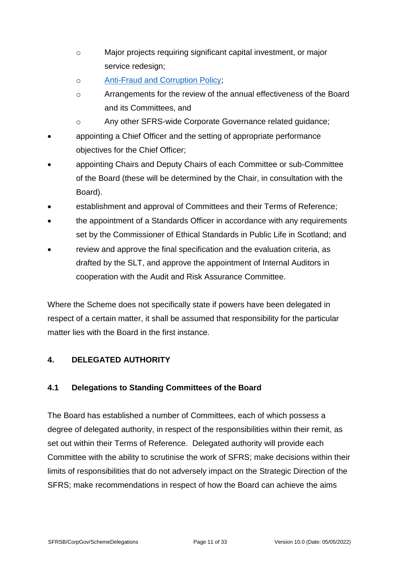- o Major projects requiring significant capital investment, or major service redesign;
- o [Anti-Fraud and Corruption Policy;](https://www.firescotland.gov.uk/access-to-information/publication-scheme/how-we-deliver-our-functions-and-services.aspx)
- o Arrangements for the review of the annual effectiveness of the Board and its Committees, and
- o Any other SFRS-wide Corporate Governance related guidance;
- appointing a Chief Officer and the setting of appropriate performance objectives for the Chief Officer;
- appointing Chairs and Deputy Chairs of each Committee or sub-Committee of the Board (these will be determined by the Chair, in consultation with the Board).
- establishment and approval of Committees and their Terms of Reference;
- the appointment of a Standards Officer in accordance with any requirements set by the Commissioner of Ethical Standards in Public Life in Scotland; and
- review and approve the final specification and the evaluation criteria, as drafted by the SLT, and approve the appointment of Internal Auditors in cooperation with the Audit and Risk Assurance Committee.

Where the Scheme does not specifically state if powers have been delegated in respect of a certain matter, it shall be assumed that responsibility for the particular matter lies with the Board in the first instance.

# <span id="page-10-0"></span>**4. DELEGATED AUTHORITY**

#### <span id="page-10-1"></span>**4.1 Delegations to Standing Committees of the Board**

The Board has established a number of Committees, each of which possess a degree of delegated authority, in respect of the responsibilities within their remit, as set out within their Terms of Reference. Delegated authority will provide each Committee with the ability to scrutinise the work of SFRS; make decisions within their limits of responsibilities that do not adversely impact on the Strategic Direction of the SFRS; make recommendations in respect of how the Board can achieve the aims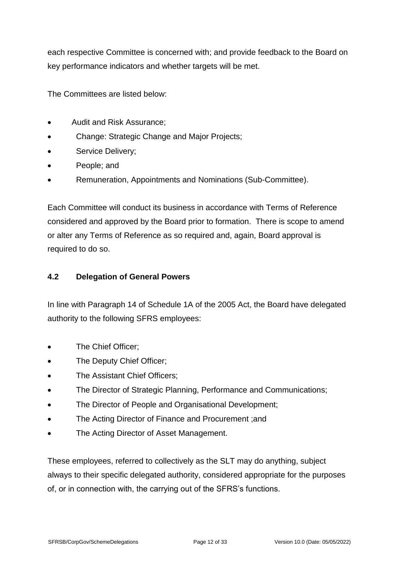each respective Committee is concerned with; and provide feedback to the Board on key performance indicators and whether targets will be met.

The Committees are listed below:

- Audit and Risk Assurance;
- Change: Strategic Change and Major Projects;
- Service Delivery;
- People; and
- Remuneration, Appointments and Nominations (Sub-Committee).

Each Committee will conduct its business in accordance with Terms of Reference considered and approved by the Board prior to formation. There is scope to amend or alter any Terms of Reference as so required and, again, Board approval is required to do so.

#### <span id="page-11-0"></span>**4.2 Delegation of General Powers**

In line with Paragraph 14 of Schedule 1A of the 2005 Act, the Board have delegated authority to the following SFRS employees:

- The Chief Officer;
- The Deputy Chief Officer;
- The Assistant Chief Officers:
- The Director of Strategic Planning, Performance and Communications;
- The Director of People and Organisational Development;
- The Acting Director of Finance and Procurement ;and
- The Acting Director of Asset Management.

These employees, referred to collectively as the SLT may do anything, subject always to their specific delegated authority, considered appropriate for the purposes of, or in connection with, the carrying out of the SFRS's functions.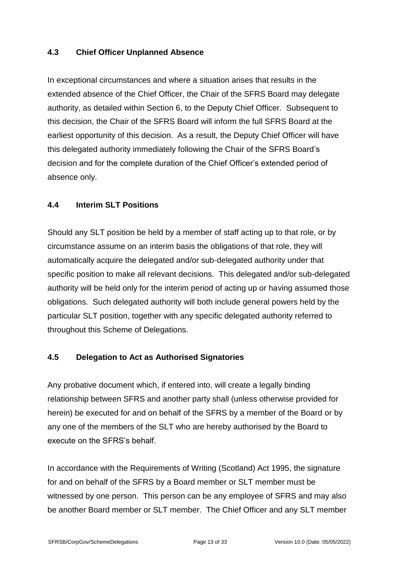#### <span id="page-12-0"></span>**4.3 Chief Officer Unplanned Absence**

In exceptional circumstances and where a situation arises that results in the extended absence of the Chief Officer, the Chair of the SFRS Board may delegate authority, as detailed within Section 6, to the Deputy Chief Officer. Subsequent to this decision, the Chair of the SFRS Board will inform the full SFRS Board at the earliest opportunity of this decision. As a result, the Deputy Chief Officer will have this delegated authority immediately following the Chair of the SFRS Board's decision and for the complete duration of the Chief Officer's extended period of absence only.

#### <span id="page-12-1"></span>**4.4 Interim SLT Positions**

Should any SLT position be held by a member of staff acting up to that role, or by circumstance assume on an interim basis the obligations of that role, they will automatically acquire the delegated and/or sub-delegated authority under that specific position to make all relevant decisions. This delegated and/or sub-delegated authority will be held only for the interim period of acting up or having assumed those obligations. Such delegated authority will both include general powers held by the particular SLT position, together with any specific delegated authority referred to throughout this Scheme of Delegations.

# <span id="page-12-2"></span>**4.5 Delegation to Act as Authorised Signatories**

Any probative document which, if entered into, will create a legally binding relationship between SFRS and another party shall (unless otherwise provided for herein) be executed for and on behalf of the SFRS by a member of the Board or by any one of the members of the SLT who are hereby authorised by the Board to execute on the SFRS's behalf.

In accordance with the Requirements of Writing (Scotland) Act 1995, the signature for and on behalf of the SFRS by a Board member or SLT member must be witnessed by one person. This person can be any employee of SFRS and may also be another Board member or SLT member. The Chief Officer and any SLT member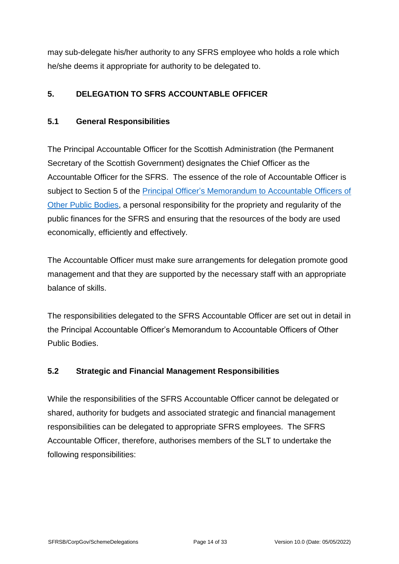may sub-delegate his/her authority to any SFRS employee who holds a role which he/she deems it appropriate for authority to be delegated to.

### <span id="page-13-0"></span>**5. DELEGATION TO SFRS ACCOUNTABLE OFFICER**

#### <span id="page-13-1"></span>**5.1 General Responsibilities**

The Principal Accountable Officer for the Scottish Administration (the Permanent Secretary of the Scottish Government) designates the Chief Officer as the Accountable Officer for the SFRS. The essence of the role of Accountable Officer is subject to Section 5 of the [Principal Officer's Memorandum to Accountable Officers of](https://www.gov.scot/publications/scottish-public-finance-manual/accountability/annex-2-memorandum-to-accountable-officers-other-public-bodies/)  [Other Public Bodies,](https://www.gov.scot/publications/scottish-public-finance-manual/accountability/annex-2-memorandum-to-accountable-officers-other-public-bodies/) a personal responsibility for the propriety and regularity of the public finances for the SFRS and ensuring that the resources of the body are used economically, efficiently and effectively.

The Accountable Officer must make sure arrangements for delegation promote good management and that they are supported by the necessary staff with an appropriate balance of skills.

The responsibilities delegated to the SFRS Accountable Officer are set out in detail in the Principal Accountable Officer's Memorandum to Accountable Officers of Other Public Bodies.

#### <span id="page-13-2"></span>**5.2 Strategic and Financial Management Responsibilities**

While the responsibilities of the SFRS Accountable Officer cannot be delegated or shared, authority for budgets and associated strategic and financial management responsibilities can be delegated to appropriate SFRS employees. The SFRS Accountable Officer, therefore, authorises members of the SLT to undertake the following responsibilities: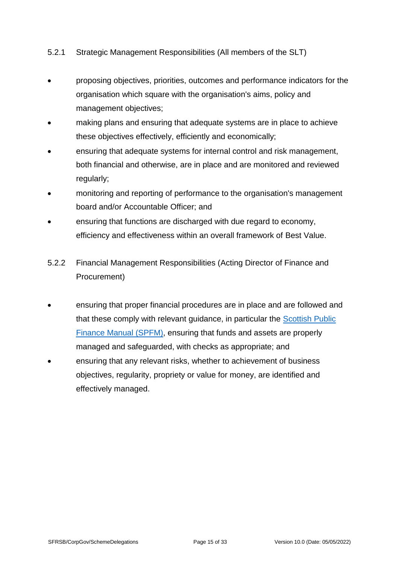#### 5.2.1 Strategic Management Responsibilities (All members of the SLT)

- proposing objectives, priorities, outcomes and performance indicators for the organisation which square with the organisation's aims, policy and management objectives;
- making plans and ensuring that adequate systems are in place to achieve these objectives effectively, efficiently and economically;
- ensuring that adequate systems for internal control and risk management, both financial and otherwise, are in place and are monitored and reviewed regularly;
- monitoring and reporting of performance to the organisation's management board and/or Accountable Officer; and
- ensuring that functions are discharged with due regard to economy, efficiency and effectiveness within an overall framework of Best Value.
- 5.2.2 Financial Management Responsibilities (Acting Director of Finance and Procurement)
- ensuring that proper financial procedures are in place and are followed and that these comply with relevant guidance, in particular the [Scottish Public](https://www.gov.scot/publications/scottish-public-finance-manual/)  [Finance Manual \(SPFM\),](https://www.gov.scot/publications/scottish-public-finance-manual/) ensuring that funds and assets are properly managed and safeguarded, with checks as appropriate; and
- ensuring that any relevant risks, whether to achievement of business objectives, regularity, propriety or value for money, are identified and effectively managed.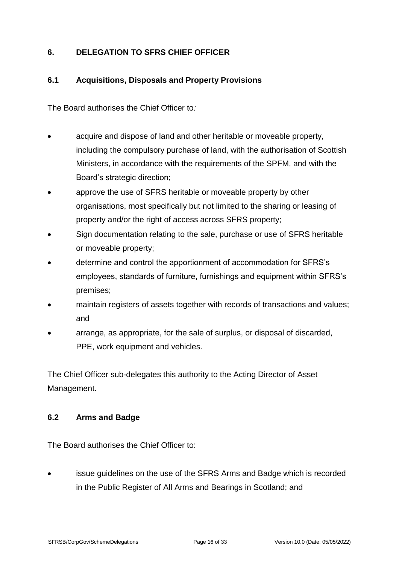### <span id="page-15-0"></span>**6. DELEGATION TO SFRS CHIEF OFFICER**

#### <span id="page-15-1"></span>**6.1 Acquisitions, Disposals and Property Provisions**

The Board authorises the Chief Officer to*:*

- acquire and dispose of land and other heritable or moveable property, including the compulsory purchase of land, with the authorisation of Scottish Ministers, in accordance with the requirements of the SPFM, and with the Board's strategic direction;
- approve the use of SFRS heritable or moveable property by other organisations, most specifically but not limited to the sharing or leasing of property and/or the right of access across SFRS property;
- Sign documentation relating to the sale, purchase or use of SFRS heritable or moveable property;
- determine and control the apportionment of accommodation for SFRS's employees, standards of furniture, furnishings and equipment within SFRS's premises;
- maintain registers of assets together with records of transactions and values; and
- arrange, as appropriate, for the sale of surplus, or disposal of discarded, PPE, work equipment and vehicles.

The Chief Officer sub-delegates this authority to the Acting Director of Asset Management.

#### <span id="page-15-2"></span>**6.2 Arms and Badge**

The Board authorises the Chief Officer to:

issue guidelines on the use of the SFRS Arms and Badge which is recorded in the Public Register of All Arms and Bearings in Scotland; and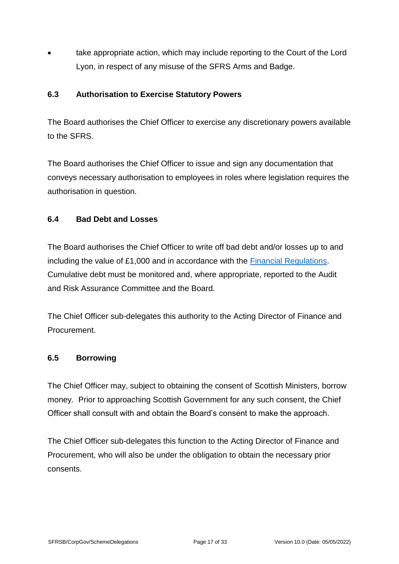• take appropriate action, which may include reporting to the Court of the Lord Lyon, in respect of any misuse of the SFRS Arms and Badge.

#### <span id="page-16-0"></span>**6.3 Authorisation to Exercise Statutory Powers**

The Board authorises the Chief Officer to exercise any discretionary powers available to the SFRS.

The Board authorises the Chief Officer to issue and sign any documentation that conveys necessary authorisation to employees in roles where legislation requires the authorisation in question.

#### <span id="page-16-1"></span>**6.4 Bad Debt and Losses**

The Board authorises the Chief Officer to write off bad debt and/or losses up to and including the value of £1,000 and in accordance with the [Financial Regulations.](https://www.firescotland.gov.uk/access-to-information/publication-scheme/what-we-spend-and-how-we-spend-it.aspx) Cumulative debt must be monitored and, where appropriate, reported to the Audit and Risk Assurance Committee and the Board.

The Chief Officer sub-delegates this authority to the Acting Director of Finance and Procurement.

#### <span id="page-16-2"></span>**6.5 Borrowing**

The Chief Officer may, subject to obtaining the consent of Scottish Ministers, borrow money. Prior to approaching Scottish Government for any such consent, the Chief Officer shall consult with and obtain the Board's consent to make the approach.

The Chief Officer sub-delegates this function to the Acting Director of Finance and Procurement, who will also be under the obligation to obtain the necessary prior consents.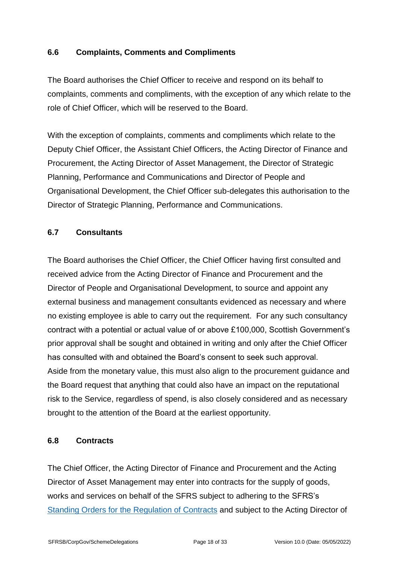#### <span id="page-17-0"></span>**6.6 Complaints, Comments and Compliments**

The Board authorises the Chief Officer to receive and respond on its behalf to complaints, comments and compliments, with the exception of any which relate to the role of Chief Officer, which will be reserved to the Board.

With the exception of complaints, comments and compliments which relate to the Deputy Chief Officer, the Assistant Chief Officers, the Acting Director of Finance and Procurement, the Acting Director of Asset Management, the Director of Strategic Planning, Performance and Communications and Director of People and Organisational Development, the Chief Officer sub-delegates this authorisation to the Director of Strategic Planning, Performance and Communications.

#### <span id="page-17-1"></span>**6.7 Consultants**

The Board authorises the Chief Officer, the Chief Officer having first consulted and received advice from the Acting Director of Finance and Procurement and the Director of People and Organisational Development, to source and appoint any external business and management consultants evidenced as necessary and where no existing employee is able to carry out the requirement. For any such consultancy contract with a potential or actual value of or above £100,000, Scottish Government's prior approval shall be sought and obtained in writing and only after the Chief Officer has consulted with and obtained the Board's consent to seek such approval. Aside from the monetary value, this must also align to the procurement guidance and the Board request that anything that could also have an impact on the reputational risk to the Service, regardless of spend, is also closely considered and as necessary brought to the attention of the Board at the earliest opportunity.

#### <span id="page-17-2"></span>**6.8 Contracts**

The Chief Officer, the Acting Director of Finance and Procurement and the Acting Director of Asset Management may enter into contracts for the supply of goods, works and services on behalf of the SFRS subject to adhering to the SFRS's [Standing Orders for the Regulation of](https://www.firescotland.gov.uk/access-to-information/publication-scheme/how-we-procure-goods-and-services-from-external-providers.aspx) Contracts and subject to the Acting Director of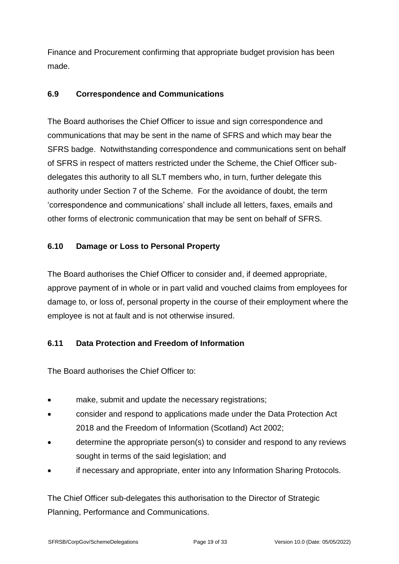Finance and Procurement confirming that appropriate budget provision has been made.

#### <span id="page-18-0"></span>**6.9 Correspondence and Communications**

The Board authorises the Chief Officer to issue and sign correspondence and communications that may be sent in the name of SFRS and which may bear the SFRS badge. Notwithstanding correspondence and communications sent on behalf of SFRS in respect of matters restricted under the Scheme, the Chief Officer subdelegates this authority to all SLT members who, in turn, further delegate this authority under Section 7 of the Scheme. For the avoidance of doubt, the term 'correspondence and communications' shall include all letters, faxes, emails and other forms of electronic communication that may be sent on behalf of SFRS.

### <span id="page-18-1"></span>**6.10 Damage or Loss to Personal Property**

The Board authorises the Chief Officer to consider and, if deemed appropriate, approve payment of in whole or in part valid and vouched claims from employees for damage to, or loss of, personal property in the course of their employment where the employee is not at fault and is not otherwise insured.

# <span id="page-18-2"></span>**6.11 Data Protection and Freedom of Information**

The Board authorises the Chief Officer to:

- make, submit and update the necessary registrations;
- consider and respond to applications made under the Data Protection Act 2018 and the Freedom of Information (Scotland) Act 2002;
- determine the appropriate person(s) to consider and respond to any reviews sought in terms of the said legislation; and
- if necessary and appropriate, enter into any Information Sharing Protocols.

The Chief Officer sub-delegates this authorisation to the Director of Strategic Planning, Performance and Communications.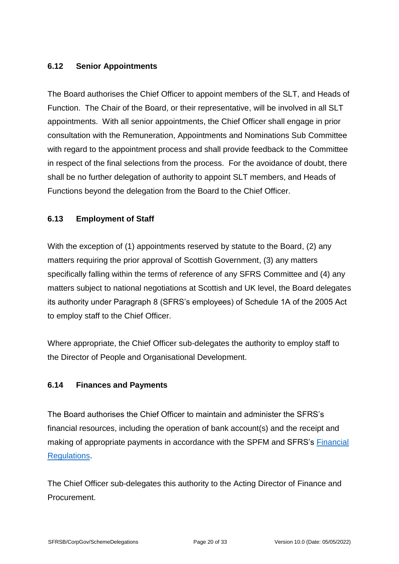### <span id="page-19-0"></span>**6.12 Senior Appointments**

The Board authorises the Chief Officer to appoint members of the SLT, and Heads of Function. The Chair of the Board, or their representative, will be involved in all SLT appointments. With all senior appointments, the Chief Officer shall engage in prior consultation with the Remuneration, Appointments and Nominations Sub Committee with regard to the appointment process and shall provide feedback to the Committee in respect of the final selections from the process. For the avoidance of doubt, there shall be no further delegation of authority to appoint SLT members, and Heads of Functions beyond the delegation from the Board to the Chief Officer.

#### <span id="page-19-1"></span>**6.13 Employment of Staff**

With the exception of (1) appointments reserved by statute to the Board, (2) any matters requiring the prior approval of Scottish Government, (3) any matters specifically falling within the terms of reference of any SFRS Committee and (4) any matters subject to national negotiations at Scottish and UK level, the Board delegates its authority under Paragraph 8 (SFRS's employees) of Schedule 1A of the 2005 Act to employ staff to the Chief Officer.

Where appropriate, the Chief Officer sub-delegates the authority to employ staff to the Director of People and Organisational Development.

#### <span id="page-19-2"></span>**6.14 Finances and Payments**

The Board authorises the Chief Officer to maintain and administer the SFRS's financial resources, including the operation of bank account(s) and the receipt and making of appropriate payments in accordance with the SPFM and SFRS's [Financial](https://www.firescotland.gov.uk/access-to-information/publication-scheme/what-we-spend-and-how-we-spend-it.aspx)  [Regulations.](https://www.firescotland.gov.uk/access-to-information/publication-scheme/what-we-spend-and-how-we-spend-it.aspx)

The Chief Officer sub-delegates this authority to the Acting Director of Finance and Procurement.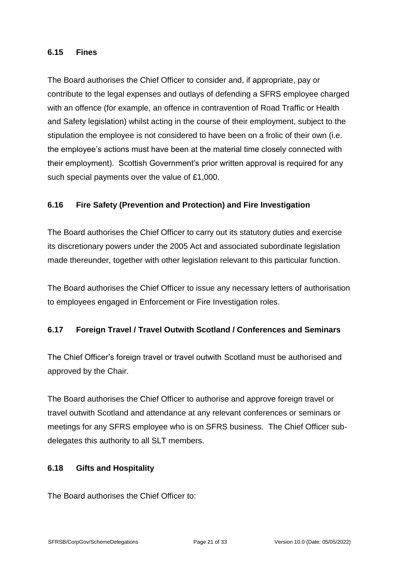#### <span id="page-20-0"></span>**6.15 Fines**

The Board authorises the Chief Officer to consider and, if appropriate, pay or contribute to the legal expenses and outlays of defending a SFRS employee charged with an offence (for example, an offence in contravention of Road Traffic or Health and Safety legislation) whilst acting in the course of their employment, subject to the stipulation the employee is not considered to have been on a frolic of their own (i.e. the employee's actions must have been at the material time closely connected with their employment). Scottish Government's prior written approval is required for any such special payments over the value of £1,000.

#### <span id="page-20-1"></span>**6.16 Fire Safety (Prevention and Protection) and Fire Investigation**

The Board authorises the Chief Officer to carry out its statutory duties and exercise its discretionary powers under the 2005 Act and associated subordinate legislation made thereunder, together with other legislation relevant to this particular function.

The Board authorises the Chief Officer to issue any necessary letters of authorisation to employees engaged in Enforcement or Fire Investigation roles.

#### <span id="page-20-2"></span>**6.17 Foreign Travel / Travel Outwith Scotland / Conferences and Seminars**

The Chief Officer's foreign travel or travel outwith Scotland must be authorised and approved by the Chair.

The Board authorises the Chief Officer to authorise and approve foreign travel or travel outwith Scotland and attendance at any relevant conferences or seminars or meetings for any SFRS employee who is on SFRS business. The Chief Officer subdelegates this authority to all SLT members.

#### <span id="page-20-3"></span>**6.18 Gifts and Hospitality**

The Board authorises the Chief Officer to: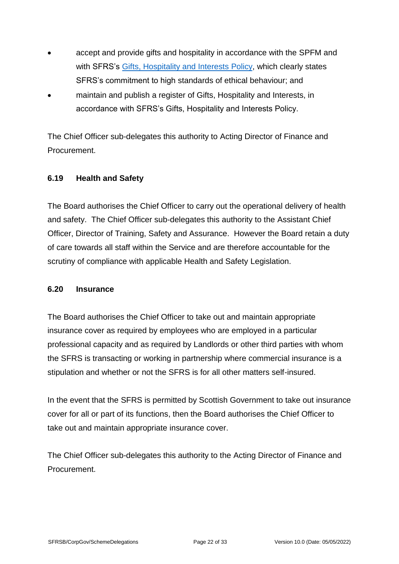- accept and provide gifts and hospitality in accordance with the SPFM and with SFRS's [Gifts, Hospitality and Interests Policy,](https://www.firescotland.gov.uk/access-to-information/publication-scheme/what-we-spend-and-how-we-spend-it.aspx) which clearly states SFRS's commitment to high standards of ethical behaviour; and
- maintain and publish a register of Gifts, Hospitality and Interests, in accordance with SFRS's Gifts, Hospitality and Interests Policy.

The Chief Officer sub-delegates this authority to Acting Director of Finance and Procurement.

#### <span id="page-21-0"></span>**6.19 Health and Safety**

The Board authorises the Chief Officer to carry out the operational delivery of health and safety. The Chief Officer sub-delegates this authority to the Assistant Chief Officer, Director of Training, Safety and Assurance. However the Board retain a duty of care towards all staff within the Service and are therefore accountable for the scrutiny of compliance with applicable Health and Safety Legislation.

#### <span id="page-21-1"></span>**6.20 Insurance**

The Board authorises the Chief Officer to take out and maintain appropriate insurance cover as required by employees who are employed in a particular professional capacity and as required by Landlords or other third parties with whom the SFRS is transacting or working in partnership where commercial insurance is a stipulation and whether or not the SFRS is for all other matters self-insured.

In the event that the SFRS is permitted by Scottish Government to take out insurance cover for all or part of its functions, then the Board authorises the Chief Officer to take out and maintain appropriate insurance cover.

The Chief Officer sub-delegates this authority to the Acting Director of Finance and Procurement.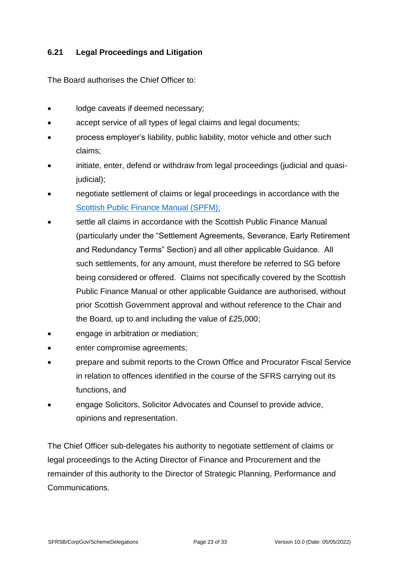#### <span id="page-22-0"></span>**6.21 Legal Proceedings and Litigation**

The Board authorises the Chief Officer to:

- lodge caveats if deemed necessary;
- accept service of all types of legal claims and legal documents;
- process employer's liability, public liability, motor vehicle and other such claims;
- initiate, enter, defend or withdraw from legal proceedings (judicial and quasijudicial);
- negotiate settlement of claims or legal proceedings in accordance with the [Scottish Public Finance Manual \(SPFM\);](https://www.gov.scot/publications/scottish-public-finance-manual/accountability/annex-2-memorandum-to-accountable-officers-other-public-bodies/)
- settle all claims in accordance with the Scottish Public Finance Manual (particularly under the "Settlement Agreements, Severance, Early Retirement and Redundancy Terms" Section) and all other applicable Guidance. All such settlements, for any amount, must therefore be referred to SG before being considered or offered. Claims not specifically covered by the Scottish Public Finance Manual or other applicable Guidance are authorised, without prior Scottish Government approval and without reference to the Chair and the Board, up to and including the value of £25,000;
- engage in arbitration or mediation;
- enter compromise agreements;
- prepare and submit reports to the Crown Office and Procurator Fiscal Service in relation to offences identified in the course of the SFRS carrying out its functions, and
- engage Solicitors, Solicitor Advocates and Counsel to provide advice, opinions and representation.

The Chief Officer sub-delegates his authority to negotiate settlement of claims or legal proceedings to the Acting Director of Finance and Procurement and the remainder of this authority to the Director of Strategic Planning, Performance and Communications.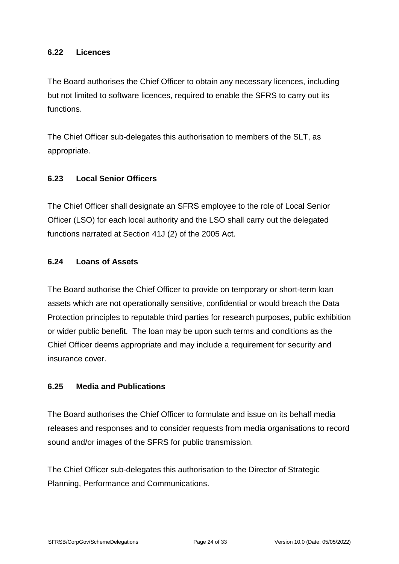#### <span id="page-23-0"></span>**6.22 Licences**

The Board authorises the Chief Officer to obtain any necessary licences, including but not limited to software licences, required to enable the SFRS to carry out its functions.

The Chief Officer sub-delegates this authorisation to members of the SLT, as appropriate.

#### <span id="page-23-1"></span>**6.23 Local Senior Officers**

The Chief Officer shall designate an SFRS employee to the role of Local Senior Officer (LSO) for each local authority and the LSO shall carry out the delegated functions narrated at Section 41J (2) of the 2005 Act.

#### <span id="page-23-2"></span>**6.24 Loans of Assets**

The Board authorise the Chief Officer to provide on temporary or short-term loan assets which are not operationally sensitive, confidential or would breach the Data Protection principles to reputable third parties for research purposes, public exhibition or wider public benefit. The loan may be upon such terms and conditions as the Chief Officer deems appropriate and may include a requirement for security and insurance cover.

#### <span id="page-23-3"></span>**6.25 Media and Publications**

The Board authorises the Chief Officer to formulate and issue on its behalf media releases and responses and to consider requests from media organisations to record sound and/or images of the SFRS for public transmission.

The Chief Officer sub-delegates this authorisation to the Director of Strategic Planning, Performance and Communications.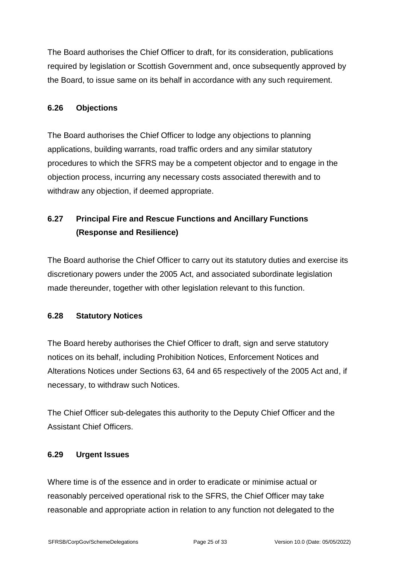The Board authorises the Chief Officer to draft, for its consideration, publications required by legislation or Scottish Government and, once subsequently approved by the Board, to issue same on its behalf in accordance with any such requirement.

#### <span id="page-24-0"></span>**6.26 Objections**

The Board authorises the Chief Officer to lodge any objections to planning applications, building warrants, road traffic orders and any similar statutory procedures to which the SFRS may be a competent objector and to engage in the objection process, incurring any necessary costs associated therewith and to withdraw any objection, if deemed appropriate.

# <span id="page-24-1"></span>**6.27 Principal Fire and Rescue Functions and Ancillary Functions (Response and Resilience)**

The Board authorise the Chief Officer to carry out its statutory duties and exercise its discretionary powers under the 2005 Act, and associated subordinate legislation made thereunder, together with other legislation relevant to this function.

# <span id="page-24-2"></span>**6.28 Statutory Notices**

The Board hereby authorises the Chief Officer to draft, sign and serve statutory notices on its behalf, including Prohibition Notices, Enforcement Notices and Alterations Notices under Sections 63, 64 and 65 respectively of the 2005 Act and, if necessary, to withdraw such Notices.

The Chief Officer sub-delegates this authority to the Deputy Chief Officer and the Assistant Chief Officers.

#### <span id="page-24-3"></span>**6.29 Urgent Issues**

Where time is of the essence and in order to eradicate or minimise actual or reasonably perceived operational risk to the SFRS, the Chief Officer may take reasonable and appropriate action in relation to any function not delegated to the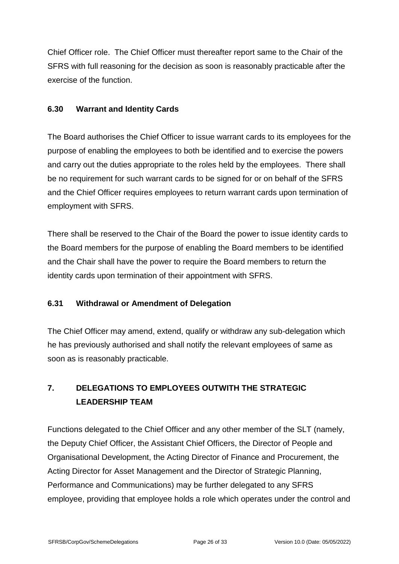Chief Officer role. The Chief Officer must thereafter report same to the Chair of the SFRS with full reasoning for the decision as soon is reasonably practicable after the exercise of the function.

#### <span id="page-25-0"></span>**6.30 Warrant and Identity Cards**

The Board authorises the Chief Officer to issue warrant cards to its employees for the purpose of enabling the employees to both be identified and to exercise the powers and carry out the duties appropriate to the roles held by the employees. There shall be no requirement for such warrant cards to be signed for or on behalf of the SFRS and the Chief Officer requires employees to return warrant cards upon termination of employment with SFRS.

There shall be reserved to the Chair of the Board the power to issue identity cards to the Board members for the purpose of enabling the Board members to be identified and the Chair shall have the power to require the Board members to return the identity cards upon termination of their appointment with SFRS.

# <span id="page-25-1"></span>**6.31 Withdrawal or Amendment of Delegation**

The Chief Officer may amend, extend, qualify or withdraw any sub-delegation which he has previously authorised and shall notify the relevant employees of same as soon as is reasonably practicable.

# <span id="page-25-2"></span>**7. DELEGATIONS TO EMPLOYEES OUTWITH THE STRATEGIC LEADERSHIP TEAM**

Functions delegated to the Chief Officer and any other member of the SLT (namely, the Deputy Chief Officer, the Assistant Chief Officers, the Director of People and Organisational Development, the Acting Director of Finance and Procurement, the Acting Director for Asset Management and the Director of Strategic Planning, Performance and Communications) may be further delegated to any SFRS employee, providing that employee holds a role which operates under the control and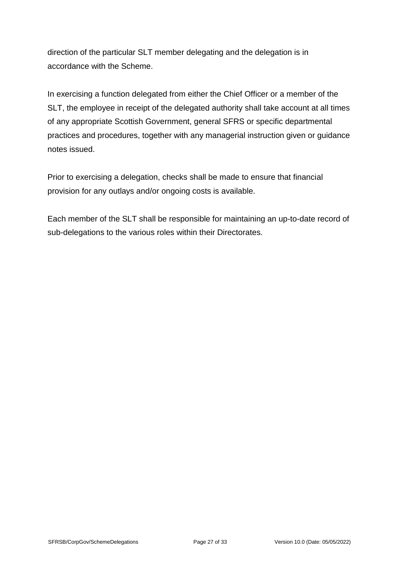direction of the particular SLT member delegating and the delegation is in accordance with the Scheme.

In exercising a function delegated from either the Chief Officer or a member of the SLT, the employee in receipt of the delegated authority shall take account at all times of any appropriate Scottish Government, general SFRS or specific departmental practices and procedures, together with any managerial instruction given or guidance notes issued.

Prior to exercising a delegation, checks shall be made to ensure that financial provision for any outlays and/or ongoing costs is available.

Each member of the SLT shall be responsible for maintaining an up-to-date record of sub-delegations to the various roles within their Directorates.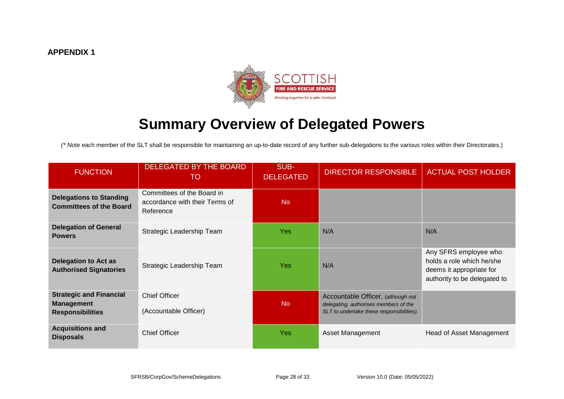

# **Summary Overview of Delegated Powers**

*(\* Note* each member of the SLT shall be responsible for maintaining an up-to-date record of any further sub-delegations to the various roles within their Directorates.)

<span id="page-27-0"></span>

| <b>FUNCTION</b>                                                                | <b>DELEGATED BY THE BOARD</b><br>TO                                       | SUB-<br><b>DELEGATED</b> | <b>DIRECTOR RESPONSIBLE</b>                                                                                              | <b>ACTUAL POST HOLDER</b>                                                                                      |
|--------------------------------------------------------------------------------|---------------------------------------------------------------------------|--------------------------|--------------------------------------------------------------------------------------------------------------------------|----------------------------------------------------------------------------------------------------------------|
| <b>Delegations to Standing</b><br><b>Committees of the Board</b>               | Committees of the Board in<br>accordance with their Terms of<br>Reference | <b>No</b>                |                                                                                                                          |                                                                                                                |
| <b>Delegation of General</b><br><b>Powers</b>                                  | Strategic Leadership Team                                                 | <b>Yes</b>               | N/A                                                                                                                      | N/A                                                                                                            |
| <b>Delegation to Act as</b><br><b>Authorised Signatories</b>                   | Strategic Leadership Team                                                 | <b>Yes</b>               | N/A                                                                                                                      | Any SFRS employee who<br>holds a role which he/she<br>deems it appropriate for<br>authority to be delegated to |
| <b>Strategic and Financial</b><br><b>Management</b><br><b>Responsibilities</b> | <b>Chief Officer</b><br>(Accountable Officer)                             | N <sub>o</sub>           | Accountable Officer, (although not<br>delegating, authorises members of the<br>SLT to undertake these responsibilities). |                                                                                                                |
| <b>Acquisitions and</b><br><b>Disposals</b>                                    | <b>Chief Officer</b>                                                      | <b>Yes</b>               | Asset Management                                                                                                         | Head of Asset Management                                                                                       |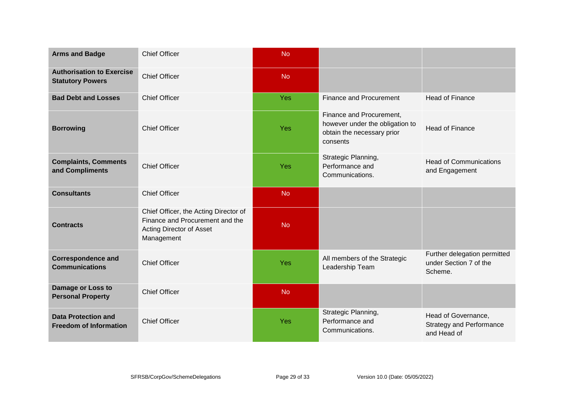| <b>Arms and Badge</b>                                       | <b>Chief Officer</b>                                                                                               | <b>No</b> |                                                                                                       |                                                                       |
|-------------------------------------------------------------|--------------------------------------------------------------------------------------------------------------------|-----------|-------------------------------------------------------------------------------------------------------|-----------------------------------------------------------------------|
| <b>Authorisation to Exercise</b><br><b>Statutory Powers</b> | <b>Chief Officer</b>                                                                                               | <b>No</b> |                                                                                                       |                                                                       |
| <b>Bad Debt and Losses</b>                                  | <b>Chief Officer</b>                                                                                               | Yes       | <b>Finance and Procurement</b>                                                                        | <b>Head of Finance</b>                                                |
| <b>Borrowing</b>                                            | <b>Chief Officer</b>                                                                                               | Yes       | Finance and Procurement,<br>however under the obligation to<br>obtain the necessary prior<br>consents | <b>Head of Finance</b>                                                |
| <b>Complaints, Comments</b><br>and Compliments              | <b>Chief Officer</b>                                                                                               | Yes       | Strategic Planning,<br>Performance and<br>Communications.                                             | <b>Head of Communications</b><br>and Engagement                       |
| <b>Consultants</b>                                          | <b>Chief Officer</b>                                                                                               | <b>No</b> |                                                                                                       |                                                                       |
| <b>Contracts</b>                                            | Chief Officer, the Acting Director of<br>Finance and Procurement and the<br>Acting Director of Asset<br>Management | <b>No</b> |                                                                                                       |                                                                       |
| <b>Correspondence and</b><br><b>Communications</b>          | <b>Chief Officer</b>                                                                                               | Yes       | All members of the Strategic<br>Leadership Team                                                       | Further delegation permitted<br>under Section 7 of the<br>Scheme.     |
| Damage or Loss to<br><b>Personal Property</b>               | <b>Chief Officer</b>                                                                                               | <b>No</b> |                                                                                                       |                                                                       |
| <b>Data Protection and</b><br><b>Freedom of Information</b> | <b>Chief Officer</b>                                                                                               | Yes       | Strategic Planning,<br>Performance and<br>Communications.                                             | Head of Governance,<br><b>Strategy and Performance</b><br>and Head of |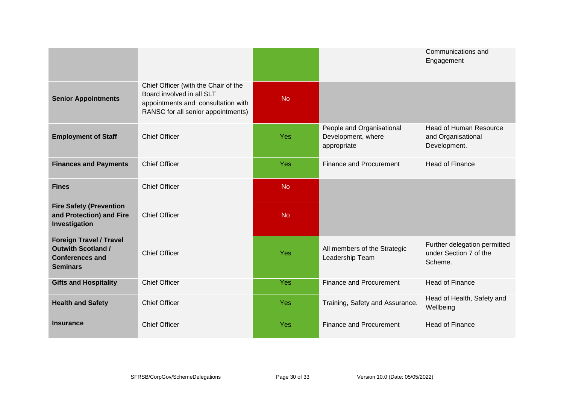|                                                                                                          |                                                                                                                                               |            |                                                                | Communications and<br>Engagement                                    |
|----------------------------------------------------------------------------------------------------------|-----------------------------------------------------------------------------------------------------------------------------------------------|------------|----------------------------------------------------------------|---------------------------------------------------------------------|
| <b>Senior Appointments</b>                                                                               | Chief Officer (with the Chair of the<br>Board involved in all SLT<br>appointments and consultation with<br>RANSC for all senior appointments) | <b>No</b>  |                                                                |                                                                     |
| <b>Employment of Staff</b>                                                                               | <b>Chief Officer</b>                                                                                                                          | <b>Yes</b> | People and Organisational<br>Development, where<br>appropriate | <b>Head of Human Resource</b><br>and Organisational<br>Development. |
| <b>Finances and Payments</b>                                                                             | <b>Chief Officer</b>                                                                                                                          | Yes        | Finance and Procurement                                        | <b>Head of Finance</b>                                              |
| <b>Fines</b>                                                                                             | <b>Chief Officer</b>                                                                                                                          | <b>No</b>  |                                                                |                                                                     |
| <b>Fire Safety (Prevention</b><br>and Protection) and Fire<br>Investigation                              | <b>Chief Officer</b>                                                                                                                          | <b>No</b>  |                                                                |                                                                     |
| <b>Foreign Travel / Travel</b><br><b>Outwith Scotland /</b><br><b>Conferences and</b><br><b>Seminars</b> | <b>Chief Officer</b>                                                                                                                          | Yes        | All members of the Strategic<br>Leadership Team                | Further delegation permitted<br>under Section 7 of the<br>Scheme.   |
| <b>Gifts and Hospitality</b>                                                                             | <b>Chief Officer</b>                                                                                                                          | Yes        | Finance and Procurement                                        | <b>Head of Finance</b>                                              |
| <b>Health and Safety</b>                                                                                 | <b>Chief Officer</b>                                                                                                                          | Yes        | Training, Safety and Assurance.                                | Head of Health, Safety and<br>Wellbeing                             |
| <b>Insurance</b>                                                                                         | <b>Chief Officer</b>                                                                                                                          | <b>Yes</b> | Finance and Procurement                                        | <b>Head of Finance</b>                                              |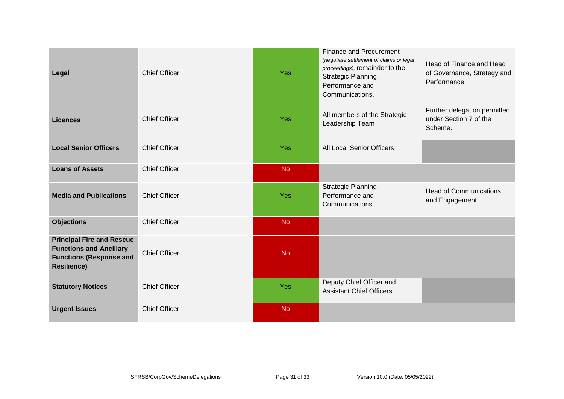| Legal                                                                                                                      | <b>Chief Officer</b> | <b>Yes</b> | <b>Finance and Procurement</b><br>(negotiate settlement of claims or legal<br>proceedings), remainder to the<br>Strategic Planning,<br>Performance and<br>Communications. | Head of Finance and Head<br>of Governance, Strategy and<br>Performance |
|----------------------------------------------------------------------------------------------------------------------------|----------------------|------------|---------------------------------------------------------------------------------------------------------------------------------------------------------------------------|------------------------------------------------------------------------|
| <b>Licences</b>                                                                                                            | <b>Chief Officer</b> | <b>Yes</b> | All members of the Strategic<br>Leadership Team                                                                                                                           | Further delegation permitted<br>under Section 7 of the<br>Scheme.      |
| <b>Local Senior Officers</b>                                                                                               | <b>Chief Officer</b> | <b>Yes</b> | All Local Senior Officers                                                                                                                                                 |                                                                        |
| <b>Loans of Assets</b>                                                                                                     | <b>Chief Officer</b> | <b>No</b>  |                                                                                                                                                                           |                                                                        |
| <b>Media and Publications</b>                                                                                              | <b>Chief Officer</b> | Yes        | Strategic Planning,<br>Performance and<br>Communications.                                                                                                                 | <b>Head of Communications</b><br>and Engagement                        |
| <b>Objections</b>                                                                                                          | <b>Chief Officer</b> | <b>No</b>  |                                                                                                                                                                           |                                                                        |
| <b>Principal Fire and Rescue</b><br><b>Functions and Ancillary</b><br><b>Functions (Response and</b><br><b>Resilience)</b> | <b>Chief Officer</b> | <b>No</b>  |                                                                                                                                                                           |                                                                        |
| <b>Statutory Notices</b>                                                                                                   | <b>Chief Officer</b> | <b>Yes</b> | Deputy Chief Officer and<br><b>Assistant Chief Officers</b>                                                                                                               |                                                                        |
| <b>Urgent Issues</b>                                                                                                       | <b>Chief Officer</b> | <b>No</b>  |                                                                                                                                                                           |                                                                        |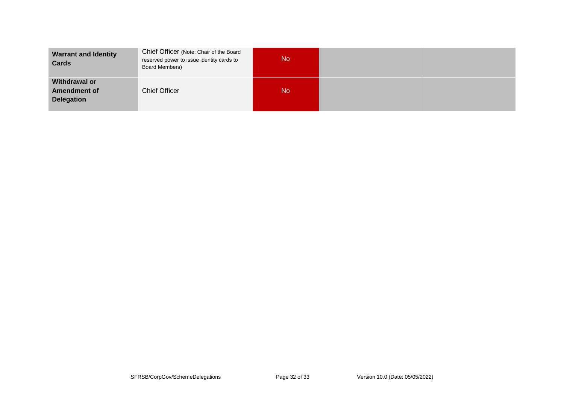| <b>Warrant and Identity</b><br>Cards                      | Chief Officer (Note: Chair of the Board<br>reserved power to issue identity cards to<br>Board Members) | <b>No</b> |  |
|-----------------------------------------------------------|--------------------------------------------------------------------------------------------------------|-----------|--|
| Withdrawal or<br><b>Amendment of</b><br><b>Delegation</b> | <b>Chief Officer</b>                                                                                   | <b>No</b> |  |